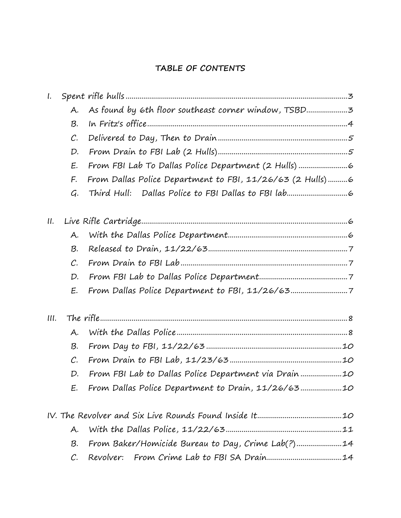# **TABLE OF CONTENTS**

| $\mathsf{l}$ . |                |                                                           |
|----------------|----------------|-----------------------------------------------------------|
|                | A.             | As found by 6th floor southeast corner window, TSBD       |
|                | B.             |                                                           |
|                | $\mathcal{C}.$ |                                                           |
|                | D.             |                                                           |
|                | E.             |                                                           |
|                | F.             | From Dallas Police Department to FBI, 11/26/63 (2 Hulls)6 |
|                | G.             |                                                           |
| II.            |                |                                                           |
|                | A.             |                                                           |
|                | B.             |                                                           |
|                | $\mathcal{C}.$ |                                                           |
|                | D.             |                                                           |
|                | E.             |                                                           |
| III.           |                |                                                           |
|                | A.             |                                                           |
|                | B.             |                                                           |
|                | C.             |                                                           |
|                | D.             | From FBI Lab to Dallas Police Department via Drain 10     |
|                |                | E. From Dallas Police Department to Drain, 11/26/6310     |
|                |                |                                                           |
|                | A.             |                                                           |
|                | B.             | From Baker/Homicide Bureau to Day, Crime Lab(?)14         |
|                | $\mathcal{C}.$ |                                                           |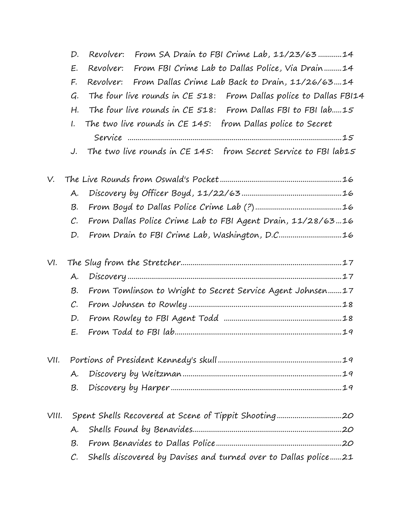|       | D.               | Revolver: From SA Drain to FBI Crime Lab, 11/23/63 14              |
|-------|------------------|--------------------------------------------------------------------|
|       | E.               | Revolver: From FBI Crime Lab to Dallas Police, Via Drain14         |
|       | F.               | Revolver: From Dallas Crime Lab Back to Drain, 11/26/6314          |
|       | G.               | The four live rounds in CE 518: From Dallas police to Dallas FBI14 |
|       | Н.               | The four live rounds in CE 518: From Dallas FBI to FBI lab15       |
|       | $\mathfrak{l}$ . | The two live rounds in CE 145: from Dallas police to Secret        |
|       |                  |                                                                    |
|       |                  | J. The two live rounds in CE 145: from Secret Service to FBI lab15 |
| V.    |                  |                                                                    |
|       | A.               |                                                                    |
|       | B.               |                                                                    |
|       | $\mathcal{C}.$   | From Dallas Police Crime Lab to FBI Agent Drain, 11/28/6316        |
|       | D.               |                                                                    |
| VI.   |                  |                                                                    |
|       | A.               |                                                                    |
|       | B.               | From Tomlinson to Wright to Secret Service Agent Johnsen17         |
|       | $\mathcal{C}.$   |                                                                    |
|       | D.               |                                                                    |
|       | E.               |                                                                    |
| VII.  |                  |                                                                    |
|       | A.               |                                                                    |
|       | B.               |                                                                    |
| VIII. |                  |                                                                    |
|       | A.               |                                                                    |
|       | B.               |                                                                    |
|       | $\mathcal{C}$ .  | Shells discovered by Davises and turned over to Dallas police21    |
|       |                  |                                                                    |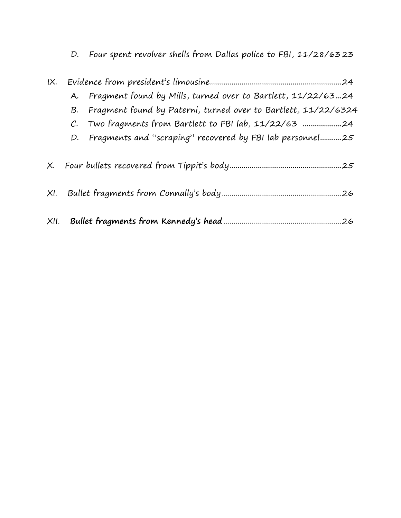| D. Four spent revolver shells from Dallas police to FBI, 11/28/63 23 |  |  |  |  |  |
|----------------------------------------------------------------------|--|--|--|--|--|
|                                                                      |  |  |  |  |  |

| IX. |    |                                                                |  |  |  |  |
|-----|----|----------------------------------------------------------------|--|--|--|--|
|     | A. | Fragment found by Mills, turned over to Bartlett, 11/22/6324   |  |  |  |  |
|     | B. | Fragment found by Paterni, turned over to Bartlett, 11/22/6324 |  |  |  |  |
|     |    | Two fragments from Bartlett to FBI lab, 11/22/63               |  |  |  |  |
|     |    | D. Fragments and "scraping" recovered by FBI lab personnel25   |  |  |  |  |
|     |    |                                                                |  |  |  |  |
|     |    |                                                                |  |  |  |  |
|     |    |                                                                |  |  |  |  |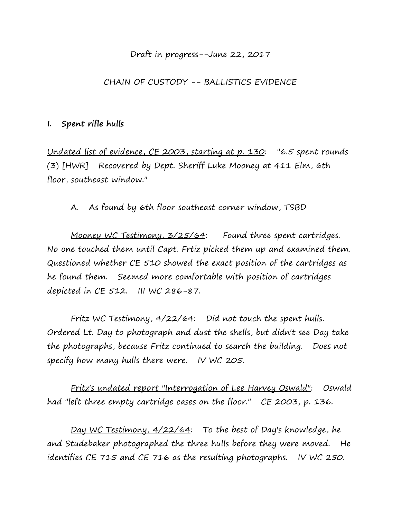# Draft in progress--June 22, 2017

# CHAIN OF CUSTODY -- BALLISTICS EVIDENCE

#### **I. Spent rifle hulls**

Undated list of evidence, CE 2003, starting at p. 130: "6.5 spent rounds (3) [HWR] Recovered by Dept. Sheriff Luke Mooney at 411 Elm, 6th floor, southeast window."

A. As found by 6th floor southeast corner window, TSBD

Mooney WC Testimony, 3/25/64: Found three spent cartridges. No one touched them until Capt. Frtiz picked them up and examined them. Questioned whether CE 510 showed the exact position of the cartridges as he found them. Seemed more comfortable with position of cartridges depicted in CE 512. III WC 286-87.

Fritz WC Testimony, 4/22/64: Did not touch the spent hulls. Ordered Lt. Day to photograph and dust the shells, but didn't see Day take the photographs, because Fritz continued to search the building. Does not specify how many hulls there were. IV WC 205.

Fritz's undated report "Interrogation of Lee Harvey Oswald": Oswald had "left three empty cartridge cases on the floor." CE 2003, p. 136.

Day WC Testimony, 4/22/64: To the best of Day's knowledge, he and Studebaker photographed the three hulls before they were moved. He identifies CE 715 and CE 716 as the resulting photographs. IV WC 250.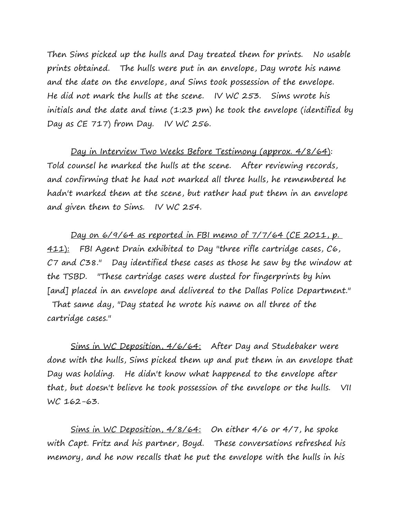Then Sims picked up the hulls and Day treated them for prints. No usable prints obtained. The hulls were put in an envelope, Day wrote his name and the date on the envelope, and Sims took possession of the envelope. He did not mark the hulls at the scene. IV WC 253. Sims wrote his initials and the date and time  $(1:23 \text{ pm})$  he took the envelope (identified by Day as CE 717) from Day. IV WC 256.

Day in Interview Two Weeks Before Testimony (approx. 4/8/64): Told counsel he marked the hulls at the scene. After reviewing records, and confirming that he had not marked all three hulls, he remembered he hadn't marked them at the scene, but rather had put them in an envelope and given them to Sims. IV WC 254.

Day on 6/9/64 as reported in FBI memo of 7/7/64 (CE 2011, p. 411): FBI Agent Drain exhibited to Day "three rifle cartridge cases, C6, C7 and C38." Day identified these cases as those he saw by the window at the TSBD. "These cartridge cases were dusted for fingerprints by him [and] placed in an envelope and delivered to the Dallas Police Department." That same day, "Day stated he wrote his name on all three of the cartridge cases."

Sims in WC Deposition, 4/6/64: After Day and Studebaker were done with the hulls, Sims picked them up and put them in an envelope that Day was holding. He didn't know what happened to the envelope after that, but doesn't believe he took possession of the envelope or the hulls. VII WC 162-63.

Sims in WC Deposition, 4/8/64: On either 4/6 or 4/7, he spoke with Capt. Fritz and his partner, Boyd. These conversations refreshed his memory, and he now recalls that he put the envelope with the hulls in his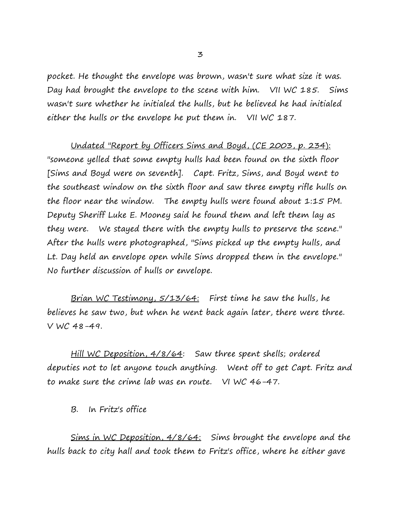pocket. He thought the envelope was brown, wasn't sure what size it was. Day had brought the envelope to the scene with him. VII WC 185. Sims wasn't sure whether he initialed the hulls, but he believed he had initialed either the hulls or the envelope he put them in. VII WC 187.

Undated "Report by Officers Sims and Boyd, (CE 2003, p. 234): "someone yelled that some empty hulls had been found on the sixth floor [Sims and Boyd were on seventh]. Capt. Fritz, Sims, and Boyd went to the southeast window on the sixth floor and saw three empty rifle hulls on the floor near the window. The empty hulls were found about 1:15 PM. Deputy Sheriff Luke E. Mooney said he found them and left them lay as they were. We stayed there with the empty hulls to preserve the scene." After the hulls were photographed, "Sims picked up the empty hulls, and Lt. Day held an envelope open while Sims dropped them in the envelope." No further discussion of hulls or envelope.

Brian WC Testimony, 5/13/64: First time he saw the hulls, he believes he saw two, but when he went back again later, there were three. V WC 48-49.

Hill WC Deposition, 4/8/64: Saw three spent shells; ordered deputies not to let anyone touch anything. Went off to get Capt. Fritz and to make sure the crime lab was en route. VI WC 46-47.

B. In Fritz's office

Sims in WC Deposition, 4/8/64: Sims brought the envelope and the hulls back to city hall and took them to Fritz's office, where he either gave

3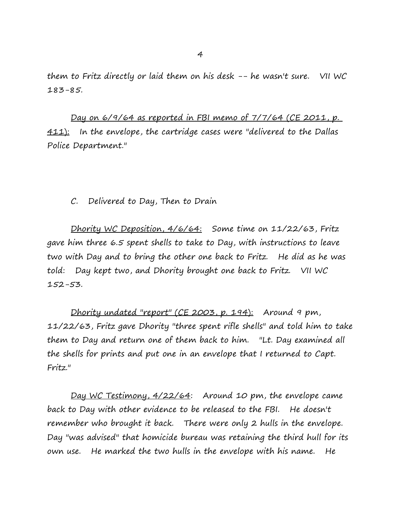them to Fritz directly or laid them on his desk  $-$ - he wasn't sure. VII WC 183-85.

Day on 6/9/64 as reported in FBI memo of 7/7/64 (CE 2011, p. 411): In the envelope, the cartridge cases were "delivered to the Dallas Police Department."

#### C. Delivered to Day, Then to Drain

Dhority WC Deposition, 4/6/64: Some time on 11/22/63, Fritz gave him three 6.5 spent shells to take to Day, with instructions to leave two with Day and to bring the other one back to Fritz. He did as he was told: Day kept two, and Dhority brought one back to Fritz. VII WC 152-53.

Dhority undated "report" (CE 2003, p. 194): Around 9 pm, 11/22/63, Fritz gave Dhority "three spent rifle shells" and told him to take them to Day and return one of them back to him. "Lt. Day examined all the shells for prints and put one in an envelope that I returned to Capt. Fritz."

Day WC Testimony, 4/22/64: Around 10 pm, the envelope came back to Day with other evidence to be released to the FBI. He doesn't remember who brought it back. There were only 2 hulls in the envelope. Day "was advised" that homicide bureau was retaining the third hull for its own use. He marked the two hulls in the envelope with his name. He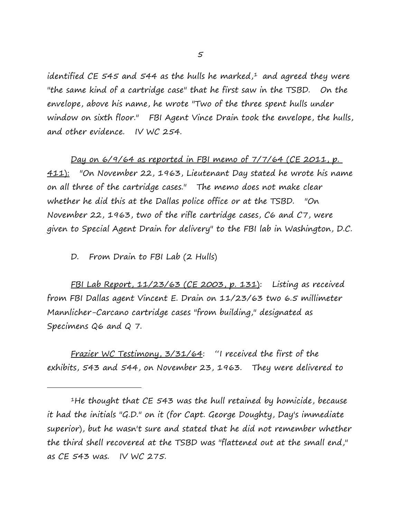identified CE 545 and 544 as the hulls he marked,<sup>[1](#page-7-0)</sup> and agreed they were "the same kind of a cartridge case" that he first saw in the TSBD. On the envelope, above his name, he wrote "Two of the three spent hulls under window on sixth floor." FBI Agent Vince Drain took the envelope, the hulls, and other evidence. IV WC 254.

Day on 6/9/64 as reported in FBI memo of 7/7/64 (CE 2011, p. 411): "On November 22, 1963, Lieutenant Day stated he wrote his name on all three of the cartridge cases." The memo does not make clear whether he did this at the Dallas police office or at the TSBD. "On November 22, 1963, two of the rifle cartridge cases, C6 and C7, were given to Special Agent Drain for delivery" to the FBI lab in Washington, D.C.

D. From Drain to FBI Lab (2 Hulls)

i<br>I

FBI Lab Report, 11/23/63 (CE 2003, p. 131): Listing as received from FBI Dallas agent Vincent E. Drain on 11/23/63 two 6.5 millimeter Mannlicher-Carcano cartridge cases "from building," designated as Specimens Q6 and Q 7.

Frazier WC Testimony, 3/31/64: "I received the first of the exhibits, 543 and 544, on November 23, 1963. They were delivered to

<span id="page-7-0"></span> $1$ He thought that CE 543 was the hull retained by homicide, because it had the initials "G.D." on it (for Capt. George Doughty, Day's immediate superior), but he wasn't sure and stated that he did not remember whether the third shell recovered at the TSBD was "flattened out at the small end," as CE 543 was. IV WC 275.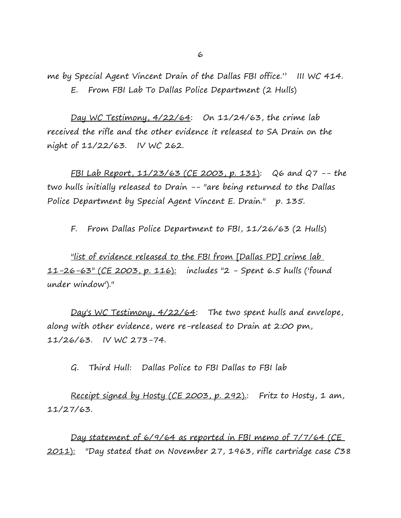me by Special Agent Vincent Drain of the Dallas FBI office." III WC 414. E. From FBI Lab To Dallas Police Department (2 Hulls)

Day WC Testimony,  $4/22/64$ : On 11/24/63, the crime lab received the rifle and the other evidence it released to SA Drain on the night of 11/22/63. IV WC 262.

FBI Lab Report, 11/23/63 (CE 2003, p. 131): Q6 and Q7 -- the two hulls initially released to Drain -- "are being returned to the Dallas Police Department by Special Agent Vincent E. Drain." p. 135.

F. From Dallas Police Department to FBI, 11/26/63 (2 Hulls)

"list of evidence released to the FBI from [Dallas PD] crime lab 11-26-63" (CE 2003, p. 116): includes "2 - Spent 6.5 hulls ('found under window')."

Day's WC Testimony, 4/22/64: The two spent hulls and envelope, along with other evidence, were re-released to Drain at 2:00 pm, 11/26/63. IV WC 273-74.

G. Third Hull: Dallas Police to FBI Dallas to FBI lab

Receipt signed by Hosty (CE 2003, p. 292).: Fritz to Hosty, 1 am, 11/27/63.

Day statement of 6/9/64 as reported in FBI memo of 7/7/64 (CE 2011): "Day stated that on November 27, 1963, rifle cartridge case C38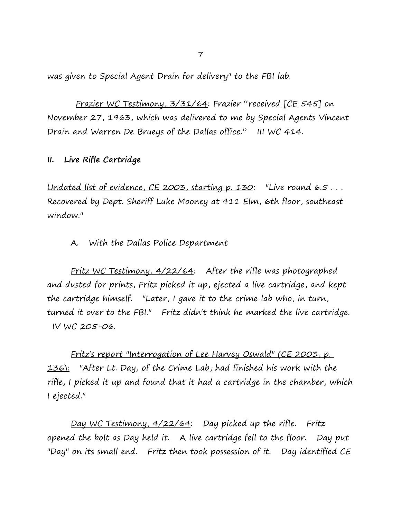was given to Special Agent Drain for delivery" to the FBI lab.

Frazier WC Testimony, 3/31/64: Frazier "received [CE 545] on November 27, 1963, which was delivered to me by Special Agents Vincent Drain and Warren De Brueys of the Dallas office." III WC 414.

# **II. Live Rifle Cartridge**

Undated list of evidence, CE 2003, starting p. 130: "Live round 6.5... Recovered by Dept. Sheriff Luke Mooney at 411 Elm, 6th floor, southeast window."

A. With the Dallas Police Department

Fritz WC Testimony, 4/22/64: After the rifle was photographed and dusted for prints, Fritz picked it up, ejected a live cartridge, and kept the cartridge himself. "Later, I gave it to the crime lab who, in turn, turned it over to the FBI." Fritz didn't think he marked the live cartridge. IV WC 205-06.

Fritz's report "Interrogation of Lee Harvey Oswald" (CE 2003, p. 136): "After Lt. Day, of the Crime Lab, had finished his work with the rifle, I picked it up and found that it had a cartridge in the chamber, which I ejected."

Day WC Testimony, 4/22/64: Day picked up the rifle. Fritz opened the bolt as Day held it. A live cartridge fell to the floor. Day put "Day" on its small end. Fritz then took possession of it. Day identified CE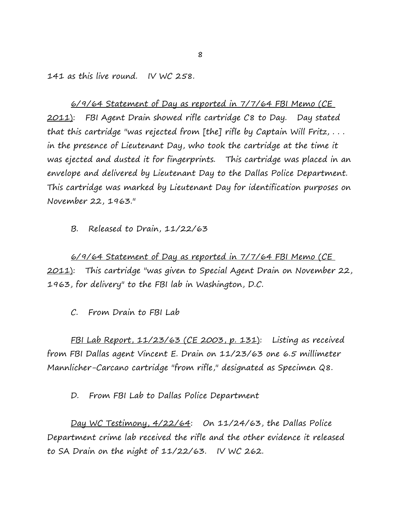141 as this live round. IV WC 258.

6/9/64 Statement of Day as reported in 7/7/64 FBI Memo (CE 2011): FBI Agent Drain showed rifle cartridge C8 to Day. Day stated that this cartridge "was rejected from [the] rifle by Captain Will Fritz,  $\dots$ in the presence of Lieutenant Day, who took the cartridge at the time it was ejected and dusted it for fingerprints. This cartridge was placed in an envelope and delivered by Lieutenant Day to the Dallas Police Department. This cartridge was marked by Lieutenant Day for identification purposes on November 22, 1963."

B. Released to Drain, 11/22/63

6/9/64 Statement of Day as reported in 7/7/64 FBI Memo (CE 2011): This cartridge "was given to Special Agent Drain on November 22, 1963, for delivery" to the FBI lab in Washington, D.C.

C. From Drain to FBI Lab

FBI Lab Report, 11/23/63 (CE 2003, p. 131): Listing as received from FBI Dallas agent Vincent E. Drain on 11/23/63 one 6.5 millimeter Mannlicher-Carcano cartridge "from rifle," designated as Specimen Q8.

D. From FBI Lab to Dallas Police Department

Day WC Testimony, 4/22/64: On 11/24/63, the Dallas Police Department crime lab received the rifle and the other evidence it released to SA Drain on the night of 11/22/63. IV WC 262.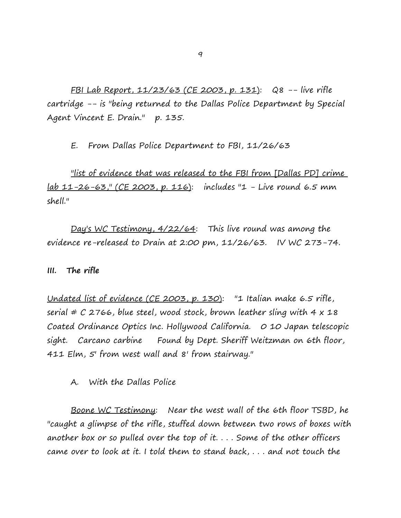FBI Lab Report, 11/23/63 (CE 2003, p. 131): Q8 -- live rifle cartridge -- is "being returned to the Dallas Police Department by Special Agent Vincent E. Drain." p. 135.

E. From Dallas Police Department to FBI, 11/26/63

"list of evidence that was released to the FBI from [Dallas PD] crime lab 11-26-63," (CE 2003, p. 116): includes "1 - Live round 6.5 mm shell."

 Day's WC Testimony, 4/22/64: This live round was among the evidence re-released to Drain at 2:00 pm, 11/26/63. IV WC 273-74.

#### **III. The rifle**

Undated list of evidence (CE 2003, p. 130): "1 Italian make 6.5 rifle, serial  $\#$  C 2766, blue steel, wood stock, brown leather sling with 4 x 18 Coated Ordinance Optics Inc. Hollywood California. 0 10 Japan telescopic sight. Carcano carbine Found by Dept. Sheriff Weitzman on 6th floor, 411 Elm, 5' from west wall and 8' from stairway."

#### A. With the Dallas Police

Boone WC Testimony: Near the west wall of the 6th floor TSBD, he "caught a glimpse of the rifle, stuffed down between two rows of boxes with another box or so pulled over the top of it. . . . Some of the other officers came over to look at it. I told them to stand back, . . . and not touch the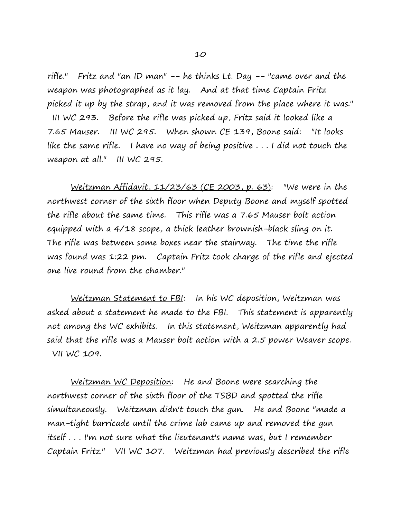rifle." Fritz and "an ID man"  $-$ - he thinks Lt. Day  $-$ - "came over and the weapon was photographed as it lay. And at that time Captain Fritz picked it up by the strap, and it was removed from the place where it was." III WC 293. Before the rifle was picked up, Fritz said it looked like a 7.65 Mauser. III WC 295. When shown CE 139, Boone said: "It looks like the same rifle. I have no way of being positive . . . I did not touch the weapon at all." III WC 295.

Weitzman Affidavit, 11/23/63 (CE 2003, p. 63): "We were in the northwest corner of the sixth floor when Deputy Boone and myself spotted the rifle about the same time. This rifle was a 7.65 Mauser bolt action equipped with a 4/18 scope, a thick leather brownish-black sling on it. The rifle was between some boxes near the stairway. The time the rifle was found was 1:22 pm. Captain Fritz took charge of the rifle and ejected one live round from the chamber."

Weitzman Statement to FBI: In his WC deposition, Weitzman was asked about a statement he made to the FBI. This statement is apparently not among the WC exhibits. In this statement, Weitzman apparently had said that the rifle was a Mauser bolt action with a 2.5 power Weaver scope. VII WC 109.

Weitzman WC Deposition: He and Boone were searching the northwest corner of the sixth floor of the TSBD and spotted the rifle simultaneously. Weitzman didn't touch the gun. He and Boone "made a man-tight barricade until the crime lab came up and removed the gun itself . . . I'm not sure what the lieutenant's name was, but I remember Captain Fritz." VII WC 107. Weitzman had previously described the rifle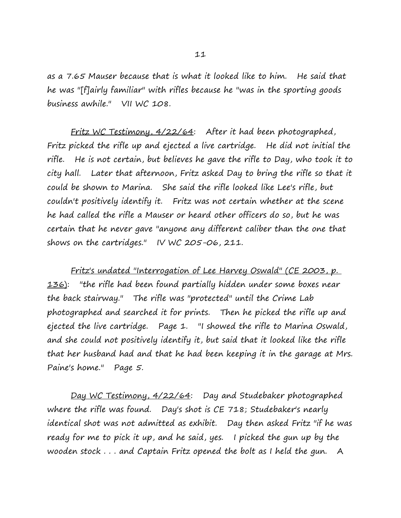as a 7.65 Mauser because that is what it looked like to him. He said that he was "[f]airly familiar" with rifles because he "was in the sporting goods business awhile." VII WC 108.

Fritz WC Testimony, 4/22/64: After it had been photographed, Fritz picked the rifle up and ejected a live cartridge. He did not initial the rifle. He is not certain, but believes he gave the rifle to Day, who took it to city hall. Later that afternoon, Fritz asked Day to bring the rifle so that it could be shown to Marina. She said the rifle looked like Lee's rifle, but couldn't positively identify it. Fritz was not certain whether at the scene he had called the rifle a Mauser or heard other officers do so, but he was certain that he never gave "anyone any different caliber than the one that shows on the cartridges." IV WC 205-06, 211.

Fritz's undated "Interrogation of Lee Harvey Oswald" (CE 2003, p. 136): "the rifle had been found partially hidden under some boxes near the back stairway." The rifle was "protected" until the Crime Lab photographed and searched it for prints. Then he picked the rifle up and ejected the live cartridge. Page 1. "I showed the rifle to Marina Oswald, and she could not positively identify it, but said that it looked like the rifle that her husband had and that he had been keeping it in the garage at Mrs. Paine's home." Page 5.

Day WC Testimony, 4/22/64: Day and Studebaker photographed where the rifle was found. Day's shot is CE 718; Studebaker's nearly identical shot was not admitted as exhibit. Day then asked Fritz "if he was ready for me to pick it up, and he said, yes. I picked the gun up by the wooden stock . . . and Captain Fritz opened the bolt as I held the gun. A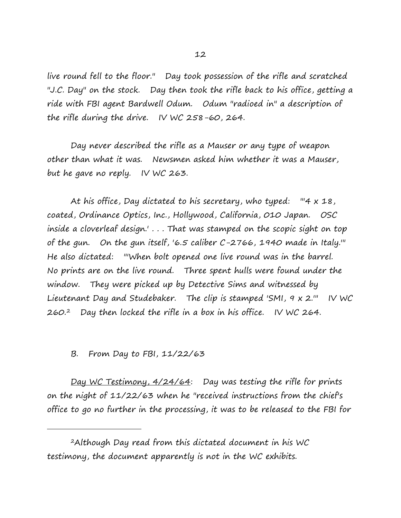live round fell to the floor." Day took possession of the rifle and scratched "J.C. Day" on the stock. Day then took the rifle back to his office, getting a ride with FBI agent Bardwell Odum. Odum "radioed in" a description of the rifle during the drive. IV WC 258-60, 264.

Day never described the rifle as a Mauser or any type of weapon other than what it was. Newsmen asked him whether it was a Mauser, but he gave no reply. IV WC 263.

At his office, Day dictated to his secretary, who typed: "'4 x 18, coated, Ordinance Optics, Inc., Hollywood, California, 010 Japan. OSC inside a cloverleaf design.' . . . That was stamped on the scopic sight on top of the gun. On the gun itself, '6.5 caliber C-2766, 1940 made in Italy.'" He also dictated: "'When bolt opened one live round was in the barrel. No prints are on the live round. Three spent hulls were found under the window. They were picked up by Detective Sims and witnessed by Lieutenant Day and Studebaker. The clip is stamped 'SMI, 9 x 2.'" IV WC 260.[2](#page-14-0) Day then locked the rifle in a box in his office. IV WC 264.

#### B. From Day to FBI, 11/22/63

i<br>I

Day WC Testimony, 4/24/64: Day was testing the rifle for prints on the night of 11/22/63 when he "received instructions from the chief's office to go no further in the processing, it was to be released to the FBI for

<span id="page-14-0"></span><sup>2</sup>Although Day read from this dictated document in his WC testimony, the document apparently is not in the WC exhibits.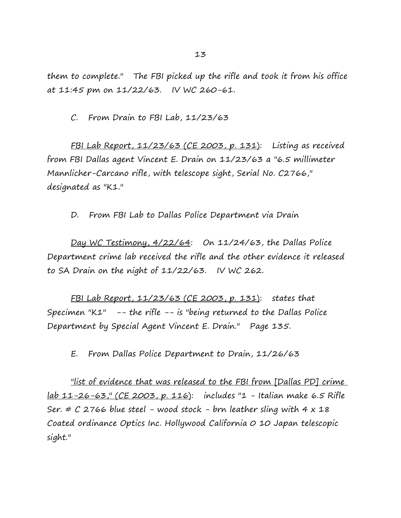them to complete." The FBI picked up the rifle and took it from his office at 11:45 pm on 11/22/63. IV WC 260-61.

C. From Drain to FBI Lab, 11/23/63

FBI Lab Report, 11/23/63 (CE 2003, p. 131): Listing as received from FBI Dallas agent Vincent E. Drain on 11/23/63 a "6.5 millimeter Mannlicher-Carcano rifle, with telescope sight, Serial No. C2766," designated as "K1."

D. From FBI Lab to Dallas Police Department via Drain

Day WC Testimony, 4/22/64: On 11/24/63, the Dallas Police Department crime lab received the rifle and the other evidence it released to SA Drain on the night of 11/22/63. IV WC 262.

FBI Lab Report, 11/23/63 (CE 2003, p. 131): states that Specimen "K1" -- the rifle -- is "being returned to the Dallas Police Department by Special Agent Vincent E. Drain." Page 135.

E. From Dallas Police Department to Drain, 11/26/63

"list of evidence that was released to the FBI from [Dallas PD] crime lab 11-26-63," (CE 2003, p. 116): includes "1 - Italian make 6.5 Rifle Ser.  $\#$  C 2766 blue steel - wood stock - brn leather sling with 4 x 18 Coated ordinance Optics Inc. Hollywood California 0 10 Japan telescopic sight."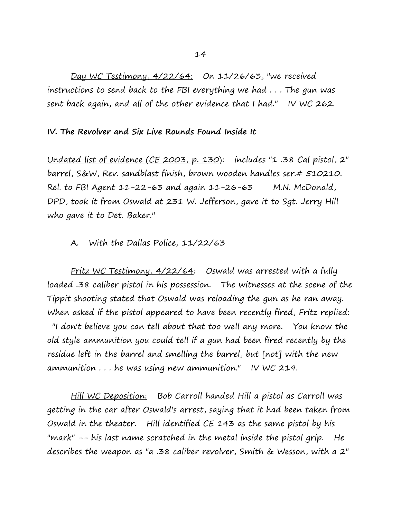Day WC Testimony, 4/22/64: On 11/26/63, "we received instructions to send back to the FBI everything we had . . . The gun was sent back again, and all of the other evidence that I had." IV WC 262.

#### **IV. The Revolver and Six Live Rounds Found Inside It**

Undated list of evidence (CE 2003, p. 130): includes "1 .38 Cal pistol, 2" barrel, S&W, Rev. sandblast finish, brown wooden handles ser.# 510210. Rel. to FBI Agent 11-22-63 and again 11-26-63 M.N. McDonald, DPD, took it from Oswald at 231 W. Jefferson, gave it to Sgt. Jerry Hill who gave it to Det. Baker."

A. With the Dallas Police, 11/22/63

Fritz WC Testimony, 4/22/64: Oswald was arrested with a fully loaded .38 caliber pistol in his possession. The witnesses at the scene of the Tippit shooting stated that Oswald was reloading the gun as he ran away. When asked if the pistol appeared to have been recently fired, Fritz replied: "I don't believe you can tell about that too well any more. You know the old style ammunition you could tell if a gun had been fired recently by the residue left in the barrel and smelling the barrel, but [not] with the new ammunition . . . he was using new ammunition." IV WC 219.

Hill WC Deposition: Bob Carroll handed Hill a pistol as Carroll was getting in the car after Oswald's arrest, saying that it had been taken from Oswald in the theater. Hill identified CE 143 as the same pistol by his "mark"  $-$ - his last name scratched in the metal inside the pistol grip. He describes the weapon as "a .38 caliber revolver, Smith & Wesson, with a 2"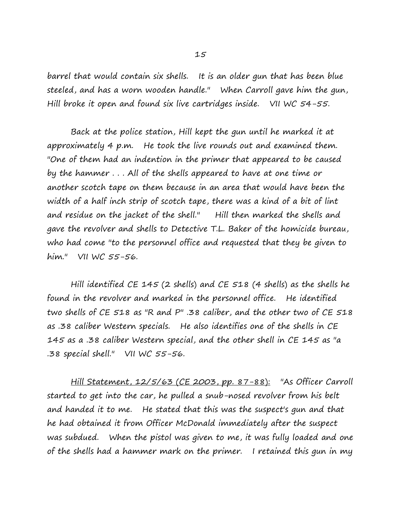barrel that would contain six shells. It is an older gun that has been blue steeled, and has a worn wooden handle." When Carroll gave him the gun, Hill broke it open and found six live cartridges inside. VII WC 54-55.

Back at the police station, Hill kept the gun until he marked it at approximately 4 p.m. He took the live rounds out and examined them. "One of them had an indention in the primer that appeared to be caused by the hammer . . . All of the shells appeared to have at one time or another scotch tape on them because in an area that would have been the width of a half inch strip of scotch tape, there was a kind of a bit of lint and residue on the jacket of the shell." Hill then marked the shells and gave the revolver and shells to Detective T.L. Baker of the homicide bureau, who had come "to the personnel office and requested that they be given to him." VII WC 55-56.

Hill identified CE 145 (2 shells) and CE 518 (4 shells) as the shells he found in the revolver and marked in the personnel office. He identified two shells of CE 518 as "R and P" .38 caliber, and the other two of CE 518 as .38 caliber Western specials. He also identifies one of the shells in CE 145 as a .38 caliber Western special, and the other shell in CE 145 as "a .38 special shell." VII WC 55-56.

Hill Statement, 12/5/63 (CE 2003, pp. 87-88): "As Officer Carroll started to get into the car, he pulled a snub-nosed revolver from his belt and handed it to me. He stated that this was the suspect's gun and that he had obtained it from Officer McDonald immediately after the suspect was subdued. When the pistol was given to me, it was fully loaded and one of the shells had a hammer mark on the primer. I retained this gun in my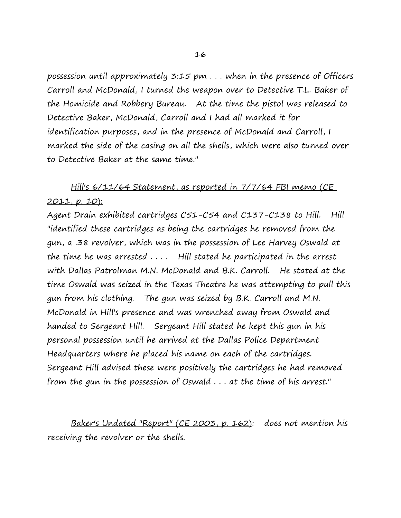possession until approximately 3:15 pm . . . when in the presence of Officers Carroll and McDonald, I turned the weapon over to Detective T.L. Baker of the Homicide and Robbery Bureau. At the time the pistol was released to Detective Baker, McDonald, Carroll and I had all marked it for identification purposes, and in the presence of McDonald and Carroll, I marked the side of the casing on all the shells, which were also turned over to Detective Baker at the same time."

# Hill's 6/11/64 Statement, as reported in 7/7/64 FBI memo (CE 2011, p. 10):

Agent Drain exhibited cartridges C51-C54 and C137-C138 to Hill. Hill "identified these cartridges as being the cartridges he removed from the gun, a .38 revolver, which was in the possession of Lee Harvey Oswald at the time he was arrested . . . . Hill stated he participated in the arrest with Dallas Patrolman M.N. McDonald and B.K. Carroll. He stated at the time Oswald was seized in the Texas Theatre he was attempting to pull this gun from his clothing. The gun was seized by B.K. Carroll and M.N. McDonald in Hill's presence and was wrenched away from Oswald and handed to Sergeant Hill. Sergeant Hill stated he kept this gun in his personal possession until he arrived at the Dallas Police Department Headquarters where he placed his name on each of the cartridges. Sergeant Hill advised these were positively the cartridges he had removed from the gun in the possession of Oswald . . . at the time of his arrest."

Baker's Undated "Report" (CE 2003, p. 162): does not mention his receiving the revolver or the shells.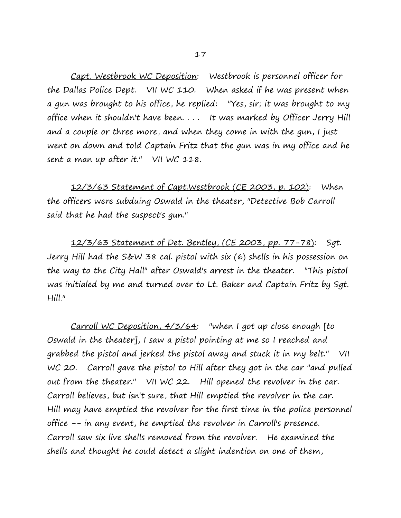Capt. Westbrook WC Deposition: Westbrook is personnel officer for the Dallas Police Dept. VII WC 110. When asked if he was present when a gun was brought to his office, he replied: "Yes, sir; it was brought to my office when it shouldn't have been. . . . It was marked by Officer Jerry Hill and a couple or three more, and when they come in with the gun, I just went on down and told Captain Fritz that the gun was in my office and he sent a man up after it." VII WC 118.

12/3/63 Statement of Capt.Westbrook (CE 2003, p. 102): When the officers were subduing Oswald in the theater, "Detective Bob Carroll said that he had the suspect's gun."

12/3/63 Statement of Det. Bentley, (CE 2003, pp. 77-78): Sgt. Jerry Hill had the S&W 38 cal. pistol with six (6) shells in his possession on the way to the City Hall" after Oswald's arrest in the theater. "This pistol was initialed by me and turned over to Lt. Baker and Captain Fritz by Sgt. Hill."

Carroll WC Deposition, 4/3/64: "when I got up close enough [to Oswald in the theater], I saw a pistol pointing at me so I reached and grabbed the pistol and jerked the pistol away and stuck it in my belt." VII WC 20. Carroll gave the pistol to Hill after they got in the car "and pulled out from the theater." VII WC 22. Hill opened the revolver in the car. Carroll believes, but isn't sure, that Hill emptied the revolver in the car. Hill may have emptied the revolver for the first time in the police personnel office -- in any event, he emptied the revolver in Carroll's presence. Carroll saw six live shells removed from the revolver. He examined the shells and thought he could detect a slight indention on one of them,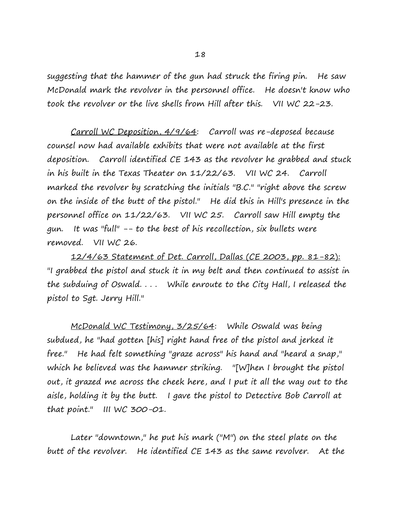suggesting that the hammer of the gun had struck the firing pin. He saw McDonald mark the revolver in the personnel office. He doesn't know who took the revolver or the live shells from Hill after this. VII WC 22-23.

Carroll WC Deposition, 4/9/64: Carroll was re-deposed because counsel now had available exhibits that were not available at the first deposition. Carroll identified CE 143 as the revolver he grabbed and stuck in his built in the Texas Theater on 11/22/63. VII WC 24. Carroll marked the revolver by scratching the initials "B.C." "right above the screw on the inside of the butt of the pistol." He did this in Hill's presence in the personnel office on 11/22/63. VII WC 25. Carroll saw Hill empty the gun. It was "full"  $-$ - to the best of his recollection, six bullets were removed. VII WC 26.

 12/4/63 Statement of Det. Carroll, Dallas (CE 2003, pp. 81-82): "I grabbed the pistol and stuck it in my belt and then continued to assist in the subduing of Oswald. . . . While enroute to the City Hall, I released the pistol to Sgt. Jerry Hill."

McDonald WC Testimony, 3/25/64: While Oswald was being subdued, he "had gotten [his] right hand free of the pistol and jerked it free." He had felt something "graze across" his hand and "heard a snap," which he believed was the hammer striking. "[W]hen I brought the pistol out, it grazed me across the cheek here, and I put it all the way out to the aisle, holding it by the butt. I gave the pistol to Detective Bob Carroll at that point." III WC 300-01.

Later "downtown," he put his mark ("M") on the steel plate on the butt of the revolver. He identified CE 143 as the same revolver. At the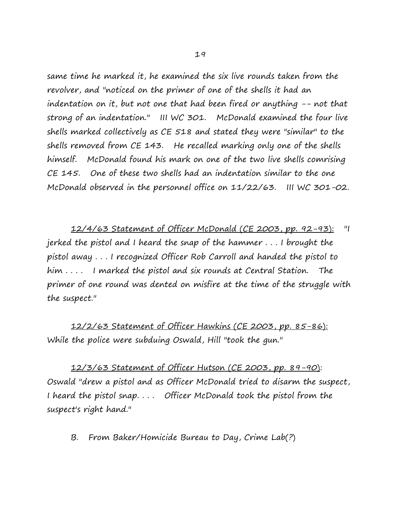same time he marked it, he examined the six live rounds taken from the revolver, and "noticed on the primer of one of the shells it had an indentation on it, but not one that had been fired or anything -- not that strong of an indentation." III WC 301. McDonald examined the four live shells marked collectively as CE 518 and stated they were "similar" to the shells removed from CE 143. He recalled marking only one of the shells himself. McDonald found his mark on one of the two live shells comrising CE 145. One of these two shells had an indentation similar to the one McDonald observed in the personnel office on 11/22/63. III WC 301-02.

12/4/63 Statement of Officer McDonald (CE 2003, pp. 92-93): "I jerked the pistol and I heard the snap of the hammer . . . I brought the pistol away . . . I recognized Officer Rob Carroll and handed the pistol to him . . . . I marked the pistol and six rounds at Central Station. The primer of one round was dented on misfire at the time of the struggle with the suspect."

12/2/63 Statement of Officer Hawkins (CE 2003, pp. 85-86): While the police were subduing Oswald, Hill "took the gun."

12/3/63 Statement of Officer Hutson (CE 2003, pp. 89-90): Oswald "drew a pistol and as Officer McDonald tried to disarm the suspect, I heard the pistol snap. . . . Officer McDonald took the pistol from the suspect's right hand."

B. From Baker/Homicide Bureau to Day, Crime Lab(?)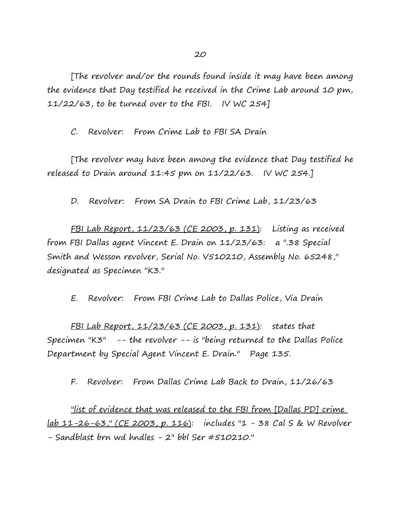[The revolver and/or the rounds found inside it may have been among the evidence that Day testified he received in the Crime Lab around 10 pm, 11/22/63, to be turned over to the FBI. IV WC 254]

C. Revolver: From Crime Lab to FBI SA Drain

[The revolver may have been among the evidence that Day testified he released to Drain around 11:45 pm on 11/22/63. IV WC 254.]

D. Revolver: From SA Drain to FBI Crime Lab, 11/23/63

FBI Lab Report, 11/23/63 (CE 2003, p. 131): Listing as received from FBI Dallas agent Vincent E. Drain on 11/23/63: a ".38 Special Smith and Wesson revolver, Serial No. V510210, Assembly No. 65248," designated as Specimen "K3."

E. Revolver: From FBI Crime Lab to Dallas Police, Via Drain

FBI Lab Report, 11/23/63 (CE 2003, p. 131): states that Specimen "K3" -- the revolver -- is "being returned to the Dallas Police Department by Special Agent Vincent E. Drain." Page 135.

F. Revolver: From Dallas Crime Lab Back to Drain, 11/26/63

"list of evidence that was released to the FBI from [Dallas PD] crime lab 11-26-63," (CE 2003, p. 116): includes "1 - 38 Cal S & W Revolver  $-$  Sandblast brn wd hndles  $-2$ " bbl Ser  $\#510210$ ."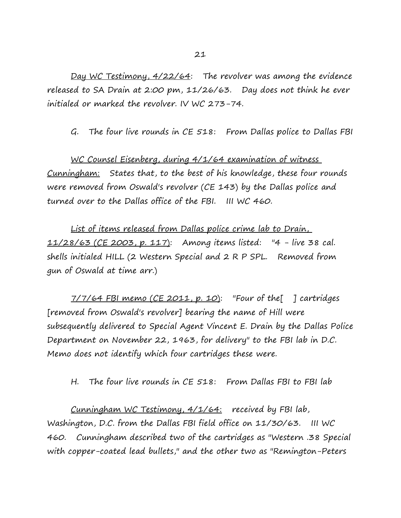Day WC Testimony, 4/22/64: The revolver was among the evidence released to SA Drain at 2:00 pm, 11/26/63. Day does not think he ever initialed or marked the revolver. IV WC 273-74.

G. The four live rounds in CE 518: From Dallas police to Dallas FBI

WC Counsel Eisenberg, during 4/1/64 examination of witness Cunningham: States that, to the best of his knowledge, these four rounds were removed from Oswald's revolver (CE 143) by the Dallas police and turned over to the Dallas office of the FBI. III WC 460.

List of items released from Dallas police crime lab to Drain, 11/28/63 (CE 2003, p. 117): Among items listed: "4 - live 38 cal. shells initialed HILL (2 Western Special and 2 R P SPL. Removed from gun of Oswald at time arr.)

7/7/64 FBI memo (CE 2011, p. 10): "Four of the[ ] cartridges [removed from Oswald's revolver] bearing the name of Hill were subsequently delivered to Special Agent Vincent E. Drain by the Dallas Police Department on November 22, 1963, for delivery" to the FBI lab in D.C. Memo does not identify which four cartridges these were.

H. The four live rounds in CE 518: From Dallas FBI to FBI lab

Cunningham WC Testimony, 4/1/64: received by FBI lab, Washington, D.C. from the Dallas FBI field office on 11/30/63. III WC 460. Cunningham described two of the cartridges as "Western .38 Special with copper-coated lead bullets," and the other two as "Remington-Peters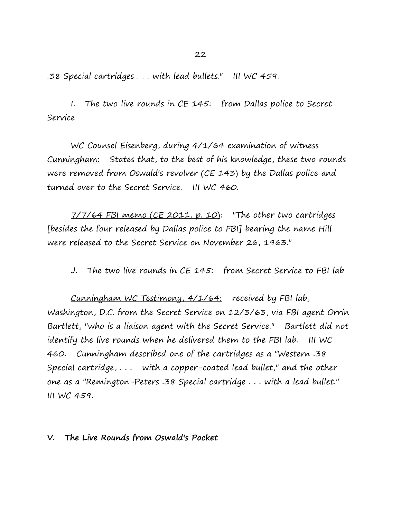.38 Special cartridges . . . with lead bullets." III WC 459.

I. The two live rounds in CE 145: from Dallas police to Secret Service

WC Counsel Eisenberg, during 4/1/64 examination of witness Cunningham: States that, to the best of his knowledge, these two rounds were removed from Oswald's revolver (CE 143) by the Dallas police and turned over to the Secret Service. III WC 460.

7/7/64 FBI memo (CE 2011, p. 10): "The other two cartridges [besides the four released by Dallas police to FBI] bearing the name Hill were released to the Secret Service on November 26, 1963."

J. The two live rounds in CE 145: from Secret Service to FBI lab

Cunningham WC Testimony, 4/1/64: received by FBI lab, Washington, D.C. from the Secret Service on 12/3/63, via FBI agent Orrin Bartlett, "who is a liaison agent with the Secret Service." Bartlett did not identify the live rounds when he delivered them to the FBI lab. III WC 460. Cunningham described one of the cartridges as a "Western .38 Special cartridge, ... with a copper-coated lead bullet," and the other one as a "Remington-Peters .38 Special cartridge . . . with a lead bullet." III WC 459.

**V. The Live Rounds from Oswald's Pocket**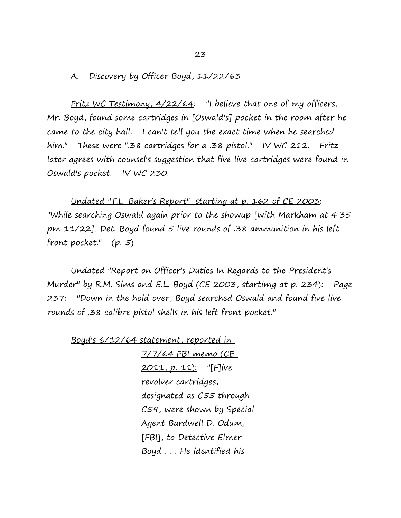# A. Discovery by Officer Boyd, 11/22/63

Fritz WC Testimony, 4/22/64: "I believe that one of my officers, Mr. Boyd, found some cartridges in [Oswald's] pocket in the room after he came to the city hall. I can't tell you the exact time when he searched him." These were ".38 cartridges for a .38 pistol." IV WC 212. Fritz later agrees with counsel's suggestion that five live cartridges were found in Oswald's pocket. IV WC 230.

Undated "T.L. Baker's Report", starting at p. 162 of CE 2003: "While searching Oswald again prior to the showup [with Markham at 4:35 pm 11/22], Det. Boyd found 5 live rounds of .38 ammunition in his left front pocket." (p. 5)

Undated "Report on Officer's Duties In Regards to the President's Murder" by R.M. Sims and E.L. Boyd (CE 2003, startimg at p. 234): Page 237: "Down in the hold over, Boyd searched Oswald and found five live rounds of .38 calibre pistol shells in his left front pocket."

Boyd's 6/12/64 statement, reported in

7/7/64 FBI memo (CE 2011, p. 11): "[F]ive revolver cartridges, designated as C55 through C59, were shown by Special Agent Bardwell D. Odum, [FBI], to Detective Elmer Boyd . . . He identified his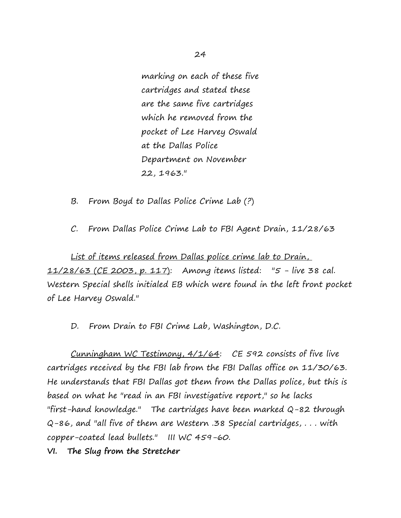marking on each of these five cartridges and stated these are the same five cartridges which he removed from the pocket of Lee Harvey Oswald at the Dallas Police Department on November 22, 1963."

B. From Boyd to Dallas Police Crime Lab (?)

C. From Dallas Police Crime Lab to FBI Agent Drain, 11/28/63

List of items released from Dallas police crime lab to Drain, 11/28/63 (CE 2003, p. 117): Among items listed: "5 - live 38 cal. Western Special shells initialed EB which were found in the left front pocket of Lee Harvey Oswald."

D. From Drain to FBI Crime Lab, Washington, D.C.

<u>Cunningham WC Testimony,  $4/1/64$ </u>: CE 592 consists of five live cartridges received by the FBI lab from the FBI Dallas office on 11/30/63. He understands that FBI Dallas got them from the Dallas police, but this is based on what he "read in an FBI investigative report," so he lacks "first-hand knowledge." The cartridges have been marked  $Q$ -82 through Q-86, and "all five of them are Western .38 Special cartridges, . . . with copper-coated lead bullets." III WC 459-60.

**VI. The Slug from the Stretcher**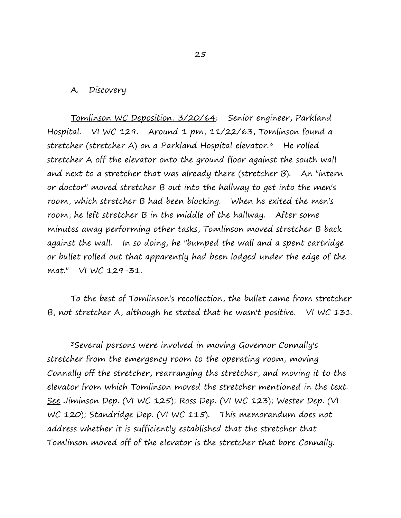#### A. Discovery

i<br>I

Tomlinson WC Deposition, 3/20/64: Senior engineer, Parkland Hospital. VI WC 129. Around 1 pm, 11/22/63, Tomlinson found a stretcher (stretcher A) on a Parkland Hospital elevator.<sup>[3](#page-27-0)</sup> He rolled stretcher A off the elevator onto the ground floor against the south wall and next to a stretcher that was already there (stretcher B). An "intern or doctor" moved stretcher B out into the hallway to get into the men's room, which stretcher B had been blocking. When he exited the men's room, he left stretcher B in the middle of the hallway. After some minutes away performing other tasks, Tomlinson moved stretcher B back against the wall. In so doing, he "bumped the wall and a spent cartridge or bullet rolled out that apparently had been lodged under the edge of the mat." VI WC 129-31.

To the best of Tomlinson's recollection, the bullet came from stretcher B, not stretcher A, although he stated that he wasn't positive. VI WC 131.

<span id="page-27-0"></span><sup>3</sup>Several persons were involved in moving Governor Connally's stretcher from the emergency room to the operating room, moving Connally off the stretcher, rearranging the stretcher, and moving it to the elevator from which Tomlinson moved the stretcher mentioned in the text. See Jiminson Dep. (VI WC 125); Ross Dep. (VI WC 123); Wester Dep. (VI WC 120); Standridge Dep. (VI WC 115). This memorandum does not address whether it is sufficiently established that the stretcher that Tomlinson moved off of the elevator is the stretcher that bore Connally.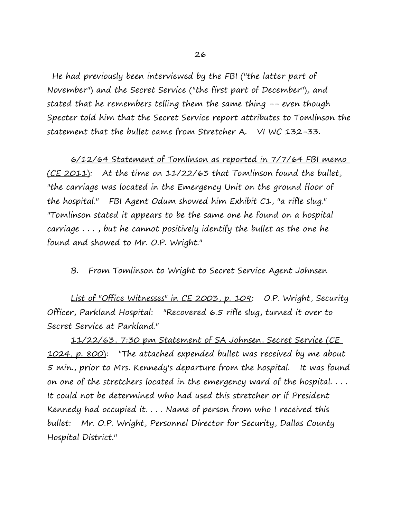He had previously been interviewed by the FBI ("the latter part of November") and the Secret Service ("the first part of December"), and stated that he remembers telling them the same thing -- even though Specter told him that the Secret Service report attributes to Tomlinson the statement that the bullet came from Stretcher A. VI WC 132-33.

6/12/64 Statement of Tomlinson as reported in 7/7/64 FBI memo (CE 2011): At the time on 11/22/63 that Tomlinson found the bullet, "the carriage was located in the Emergency Unit on the ground floor of the hospital." FBI Agent Odum showed him Exhibit C1, "a rifle slug." "Tomlinson stated it appears to be the same one he found on a hospital carriage . . . , but he cannot positively identify the bullet as the one he found and showed to Mr. O.P. Wright."

B. From Tomlinson to Wright to Secret Service Agent Johnsen

List of "Office Witnesses" in CE 2003, p. 109: O.P. Wright, Security Officer, Parkland Hospital: "Recovered 6.5 rifle slug, turned it over to Secret Service at Parkland."

11/22/63, 7:30 pm Statement of SA Johnsen, Secret Service (CE 1024, p. 800): "The attached expended bullet was received by me about 5 min., prior to Mrs. Kennedy's departure from the hospital. It was found on one of the stretchers located in the emergency ward of the hospital. . . . It could not be determined who had used this stretcher or if President Kennedy had occupied it. . . . Name of person from who I received this bullet: Mr. O.P. Wright, Personnel Director for Security, Dallas County Hospital District."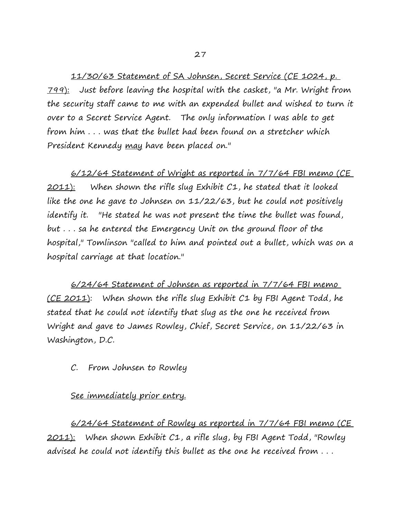11/30/63 Statement of SA Johnsen, Secret Service (CE 1024, p. 799): Just before leaving the hospital with the casket, "a Mr. Wright from the security staff came to me with an expended bullet and wished to turn it over to a Secret Service Agent. The only information I was able to get from him . . . was that the bullet had been found on a stretcher which President Kennedy may have been placed on."

6/12/64 Statement of Wright as reported in 7/7/64 FBI memo (CE  $2011$ : When shown the rifle slug Exhibit  $C1$ , he stated that it looked like the one he gave to Johnsen on 11/22/63, but he could not positively identify it. "He stated he was not present the time the bullet was found, but . . . sa he entered the Emergency Unit on the ground floor of the hospital," Tomlinson "called to him and pointed out a bullet, which was on a hospital carriage at that location."

 6/24/64 Statement of Johnsen as reported in 7/7/64 FBI memo (CE 2011): When shown the rifle slug Exhibit C1 by FBI Agent Todd, he stated that he could not identify that slug as the one he received from Wright and gave to James Rowley, Chief, Secret Service, on 11/22/63 in Washington, D.C.

C. From Johnsen to Rowley

# See immediately prior entry.

6/24/64 Statement of Rowley as reported in 7/7/64 FBI memo (CE 2011): When shown Exhibit C1, a rifle slug, by FBI Agent Todd, "Rowley advised he could not identify this bullet as the one he received from . . .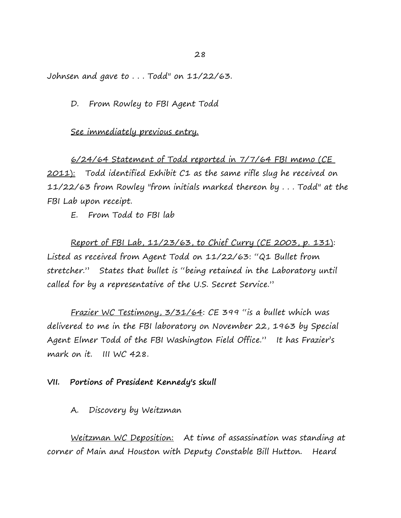Johnsen and gave to . . . Todd" on 11/22/63.

D. From Rowley to FBI Agent Todd

### See immediately previous entry.

6/24/64 Statement of Todd reported in 7/7/64 FBI memo (CE 2011): Todd identified Exhibit C1 as the same rifle slug he received on 11/22/63 from Rowley "from initials marked thereon by . . . Todd" at the FBI Lab upon receipt.

E. From Todd to FBI lab

Report of FBI Lab, 11/23/63, to Chief Curry (CE 2003, p. 131): Listed as received from Agent Todd on 11/22/63: "Q1 Bullet from stretcher." States that bullet is "being retained in the Laboratory until called for by a representative of the U.S. Secret Service."

Frazier WC Testimony, 3/31/64: CE 399 "is a bullet which was delivered to me in the FBI laboratory on November 22, 1963 by Special Agent Elmer Todd of the FBI Washington Field Office." It has Frazier's mark on it. III WC 428.

# **VII. Portions of President Kennedy's skull**

A. Discovery by Weitzman

Weitzman WC Deposition: At time of assassination was standing at corner of Main and Houston with Deputy Constable Bill Hutton. Heard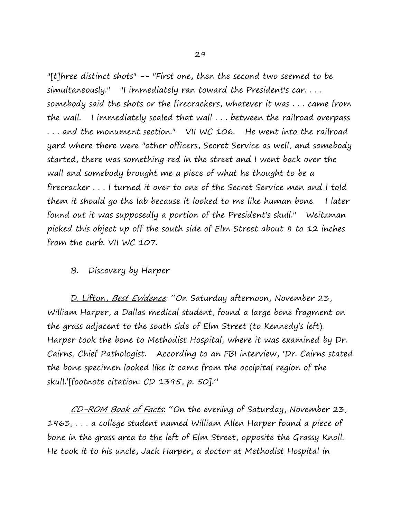"[t]hree distinct shots"  $-$  "First one, then the second two seemed to be simultaneously." "I immediately ran toward the President's car. . . . somebody said the shots or the firecrackers, whatever it was . . . came from the wall. I immediately scaled that wall . . . between the railroad overpass . . . and the monument section." VII WC 106. He went into the railroad yard where there were "other officers, Secret Service as well, and somebody started, there was something red in the street and I went back over the wall and somebody brought me a piece of what he thought to be a firecracker . . . I turned it over to one of the Secret Service men and I told them it should go the lab because it looked to me like human bone. I later found out it was supposedly a portion of the President's skull." Weitzman picked this object up off the south side of Elm Street about 8 to 12 inches from the curb. VII WC 107.

#### B. Discovery by Harper

D. Lifton, *Best Evidence*: "On Saturday afternoon, November 23, William Harper, a Dallas medical student, found a large bone fragment on the grass adjacent to the south side of Elm Street (to Kennedy's left). Harper took the bone to Methodist Hospital, where it was examined by Dr. Cairns, Chief Pathologist. According to an FBI interview, 'Dr. Cairns stated the bone specimen looked like it came from the occipital region of the skull.'[footnote citation: CD 1395, p. 50]."

CD-ROM Book of Facts. "On the evening of Saturday, November 23, 1963, . . . a college student named William Allen Harper found a piece of bone in the grass area to the left of Elm Street, opposite the Grassy Knoll. He took it to his uncle, Jack Harper, a doctor at Methodist Hospital in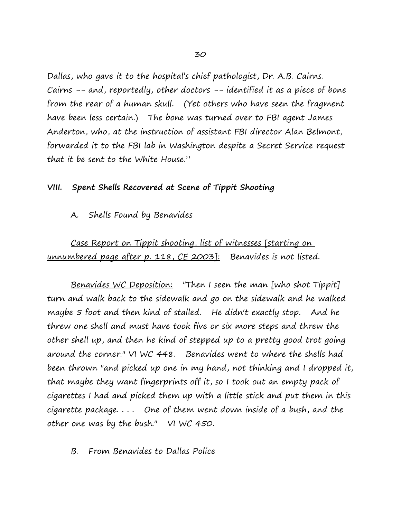Dallas, who gave it to the hospital's chief pathologist, Dr. A.B. Cairns. Cairns -- and, reportedly, other doctors -- identified it as a piece of bone from the rear of a human skull. (Yet others who have seen the fragment have been less certain.) The bone was turned over to FBI agent James Anderton, who, at the instruction of assistant FBI director Alan Belmont, forwarded it to the FBI lab in Washington despite a Secret Service request that it be sent to the White House."

### **VIII. Spent Shells Recovered at Scene of Tippit Shooting**

A. Shells Found by Benavides

# Case Report on Tippit shooting, list of witnesses [starting on unnumbered page after p. 118, CE 2003]: Benavides is not listed.

Benavides WC Deposition: "Then I seen the man [who shot Tippit] turn and walk back to the sidewalk and go on the sidewalk and he walked maybe 5 foot and then kind of stalled. He didn't exactly stop. And he threw one shell and must have took five or six more steps and threw the other shell up, and then he kind of stepped up to a pretty good trot going around the corner." VI WC 448. Benavides went to where the shells had been thrown "and picked up one in my hand, not thinking and I dropped it, that maybe they want fingerprints off it, so I took out an empty pack of cigarettes I had and picked them up with a little stick and put them in this cigarette package. . . . One of them went down inside of a bush, and the other one was by the bush." VI WC 450.

## B. From Benavides to Dallas Police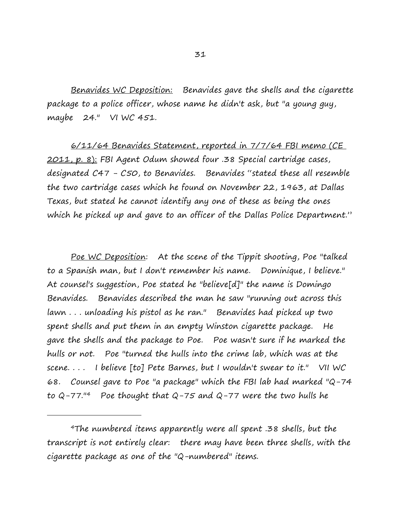Benavides WC Deposition: Benavides gave the shells and the cigarette package to a police officer, whose name he didn't ask, but "a young guy, maybe 24." VI WC 451.

6/11/64 Benavides Statement, reported in 7/7/64 FBI memo (CE 2011, p. 8): FBI Agent Odum showed four .38 Special cartridge cases, designated C47 - C50, to Benavides. Benavides "stated these all resemble the two cartridge cases which he found on November 22, 1963, at Dallas Texas, but stated he cannot identify any one of these as being the ones which he picked up and gave to an officer of the Dallas Police Department."

Poe WC Deposition: At the scene of the Tippit shooting, Poe "talked to a Spanish man, but I don't remember his name. Dominique, I believe." At counsel's suggestion, Poe stated he "believe[d]" the name is Domingo Benavides. Benavides described the man he saw "running out across this lawn . . . unloading his pistol as he ran." Benavides had picked up two spent shells and put them in an empty Winston cigarette package. He gave the shells and the package to Poe. Poe wasn't sure if he marked the hulls or not. Poe "turned the hulls into the crime lab, which was at the scene. . . . I believe [to] Pete Barnes, but I wouldn't swear to it." VII WC 68. Counsel gave to Poe "a package" which the FBI lab had marked "Q-74 to  $Q$ -77."<sup>4</sup> Poe thought that  $Q$ -75 and  $Q$ -77 were the two hulls he

i<br>I

<span id="page-33-0"></span><sup>4</sup>The numbered items apparently were all spent .38 shells, but the transcript is not entirely clear: there may have been three shells, with the cigarette package as one of the "Q-numbered" items.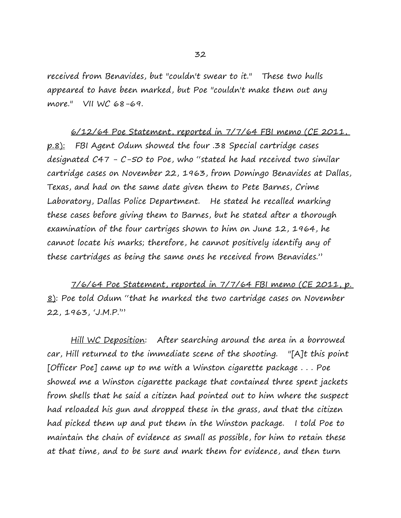received from Benavides, but "couldn't swear to it." These two hulls appeared to have been marked, but Poe "couldn't make them out any more." VII WC 68-69.

6/12/64 Poe Statement, reported in 7/7/64 FBI memo (CE 2011, p.8): FBI Agent Odum showed the four .38 Special cartridge cases designated  $C47 - C$ -50 to Poe, who "stated he had received two similar cartridge cases on November 22, 1963, from Domingo Benavides at Dallas, Texas, and had on the same date given them to Pete Barnes, Crime Laboratory, Dallas Police Department. He stated he recalled marking these cases before giving them to Barnes, but he stated after a thorough examination of the four cartriges shown to him on June 12, 1964, he cannot locate his marks; therefore, he cannot positively identify any of these cartridges as being the same ones he received from Benavides."

7/6/64 Poe Statement, reported in 7/7/64 FBI memo (CE 2011, p.  $8$ ): Poe told Odum "that he marked the two cartridge cases on November 22, 1963, 'J.M.P.'"

Hill WC Deposition: After searching around the area in a borrowed car, Hill returned to the immediate scene of the shooting. "[A]t this point [Officer Poe] came up to me with a Winston cigarette package . . . Poe showed me a Winston cigarette package that contained three spent jackets from shells that he said a citizen had pointed out to him where the suspect had reloaded his gun and dropped these in the grass, and that the citizen had picked them up and put them in the Winston package. I told Poe to maintain the chain of evidence as small as possible, for him to retain these at that time, and to be sure and mark them for evidence, and then turn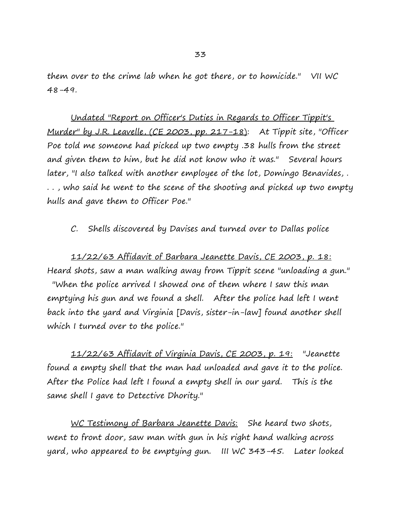them over to the crime lab when he got there, or to homicide." VII WC 48-49.

Undated "Report on Officer's Duties in Regards to Officer Tippit's Murder" by J.R. Leavelle, (CE 2003, pp. 217-18): At Tippit site, "Officer Poe told me someone had picked up two empty .38 hulls from the street and given them to him, but he did not know who it was." Several hours later, "I also talked with another employee of the lot, Domingo Benavides, . . . , who said he went to the scene of the shooting and picked up two empty hulls and gave them to Officer Poe."

C. Shells discovered by Davises and turned over to Dallas police

11/22/63 Affidavit of Barbara Jeanette Davis, CE 2003, p. 18: Heard shots, saw a man walking away from Tippit scene "unloading a gun." "When the police arrived I showed one of them where I saw this man emptying his gun and we found a shell. After the police had left I went back into the yard and Virginia [Davis, sister-in-law] found another shell which I turned over to the police."

11/22/63 Affidavit of Virginia Davis, CE 2003, p. 19: "Jeanette found a empty shell that the man had unloaded and gave it to the police. After the Police had left I found a empty shell in our yard. This is the same shell I gave to Detective Dhority."

WC Testimony of Barbara Jeanette Davis: She heard two shots, went to front door, saw man with gun in his right hand walking across yard, who appeared to be emptying gun. III WC 343-45. Later looked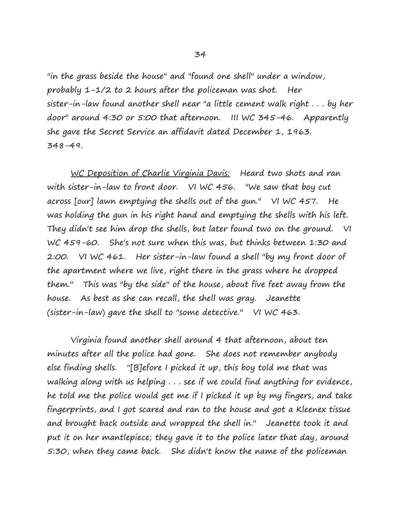"in the grass beside the house" and "found one shell" under a window, probably  $1-1/2$  to 2 hours after the policeman was shot. Her sister-in-law found another shell near "a little cement walk right . . . by her door" around 4:30 or 5:00 that afternoon. III WC 345-46. Apparently she gave the Secret Service an affidavit dated December 1, 1963. 348-49.

WC Deposition of Charlie Virginia Davis: Heard two shots and ran with sister-in-law to front door. VI WC 456. "We saw that boy cut across [our] lawn emptying the shells out of the gun." VI WC 457. He was holding the gun in his right hand and emptying the shells with his left. They didn't see him drop the shells, but later found two on the ground. VI WC 459-60. She's not sure when this was, but thinks between 1:30 and 2:00. VI WC 461. Her sister-in-law found a shell "by my front door of the apartment where we live, right there in the grass where he dropped them." This was "by the side" of the house, about five feet away from the house. As best as she can recall, the shell was gray. Jeanette (sister-in-law) gave the shell to "some detective." VI WC 463.

Virginia found another shell around 4 that afternoon, about ten minutes after all the police had gone. She does not remember anybody else finding shells. "[B]efore I picked it up, this boy told me that was walking along with us helping . . . see if we could find anything for evidence, he told me the police would get me if I picked it up by my fingers, and take fingerprints, and I got scared and ran to the house and got a Kleenex tissue and brought back outside and wrapped the shell in." Jeanette took it and put it on her mantlepiece; they gave it to the police later that day, around 5:30, when they came back. She didn't know the name of the policeman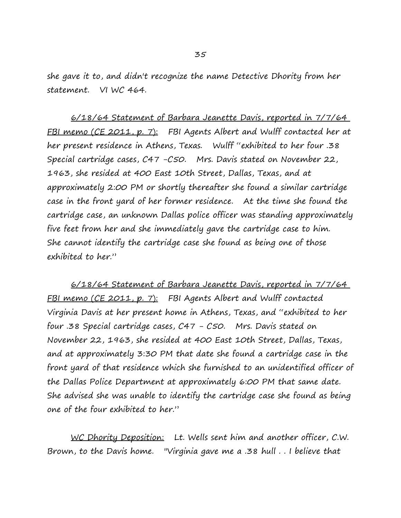she gave it to, and didn't recognize the name Detective Dhority from her statement. VI WC 464.

6/18/64 Statement of Barbara Jeanette Davis, reported in 7/7/64 FBI memo (CE 2011, p. 7): FBI Agents Albert and Wulff contacted her at her present residence in Athens, Texas. Wulff "exhibited to her four .38 Special cartridge cases, C47 -C50. Mrs. Davis stated on November 22, 1963, she resided at 400 East 10th Street, Dallas, Texas, and at approximately 2:00 PM or shortly thereafter she found a similar cartridge case in the front yard of her former residence. At the time she found the cartridge case, an unknown Dallas police officer was standing approximately five feet from her and she immediately gave the cartridge case to him. She cannot identify the cartridge case she found as being one of those exhibited to her."

6/18/64 Statement of Barbara Jeanette Davis, reported in 7/7/64 FBI memo (CE 2011, p. 7): FBI Agents Albert and Wulff contacted Virginia Davis at her present home in Athens, Texas, and "exhibited to her four .38 Special cartridge cases, C47 - C50. Mrs. Davis stated on November 22, 1963, she resided at 400 East 10th Street, Dallas, Texas, and at approximately 3:30 PM that date she found a cartridge case in the front yard of that residence which she furnished to an unidentified officer of the Dallas Police Department at approximately 6:00 PM that same date. She advised she was unable to identify the cartridge case she found as being one of the four exhibited to her."

WC Dhority Deposition: Lt. Wells sent him and another officer, C.W. Brown, to the Davis home. "Virginia gave me a .38 hull . . I believe that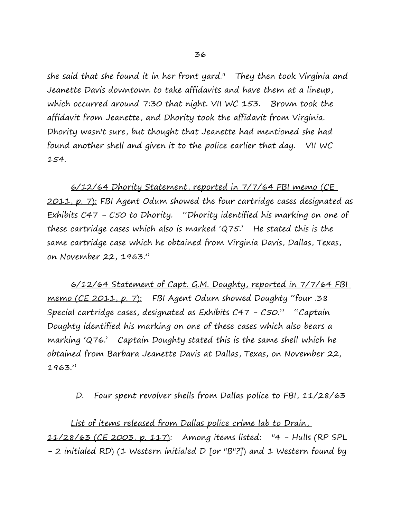she said that she found it in her front yard." They then took Virginia and Jeanette Davis downtown to take affidavits and have them at a lineup, which occurred around 7:30 that night. VII WC 153. Brown took the affidavit from Jeanette, and Dhority took the affidavit from Virginia. Dhority wasn't sure, but thought that Jeanette had mentioned she had found another shell and given it to the police earlier that day. VII WC 154.

6/12/64 Dhority Statement, reported in 7/7/64 FBI memo (CE 2011, p. 7): FBI Agent Odum showed the four cartridge cases designated as Exhibits C47 - C50 to Dhority. "Dhority identified his marking on one of these cartridge cases which also is marked 'Q75.' He stated this is the same cartridge case which he obtained from Virginia Davis, Dallas, Texas, on November 22, 1963."

6/12/64 Statement of Capt. G.M. Doughty, reported in 7/7/64 FBI memo (CE 2011, p. 7): FBI Agent Odum showed Doughty "four .38 Special cartridge cases, designated as Exhibits C47 - C50." "Captain Doughty identified his marking on one of these cases which also bears a marking 'Q76.' Captain Doughty stated this is the same shell which he obtained from Barbara Jeanette Davis at Dallas, Texas, on November 22, 1963."

D. Four spent revolver shells from Dallas police to FBI, 11/28/63

List of items released from Dallas police crime lab to Drain, 11/28/63 (CE 2003, p. 117): Among items listed: "4 - Hulls (RP SPL - 2 initialed RD) (1 Western initialed D [or "B"?]) and 1 Western found by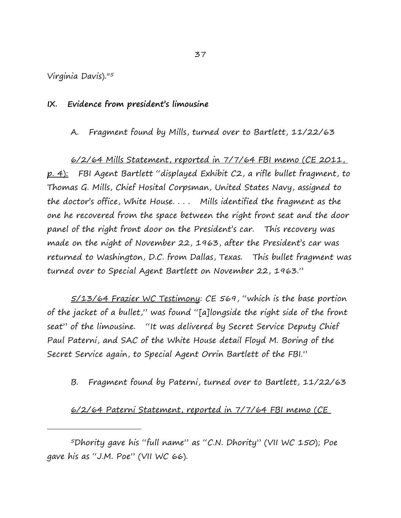Virginia Davis)."[5](#page-39-0)

i<br>I

## **IX. Evidence from president's limousine**

A. Fragment found by Mills, turned over to Bartlett, 11/22/63

6/2/64 Mills Statement, reported in 7/7/64 FBI memo (CE 2011, p. 4): FBI Agent Bartlett "displayed Exhibit C2, a rifle bullet fragment, to Thomas G. Mills, Chief Hosital Corpsman, United States Navy, assigned to the doctor's office, White House. . . . Mills identified the fragment as the one he recovered from the space between the right front seat and the door panel of the right front door on the President's car. This recovery was made on the night of November 22, 1963, after the President's car was returned to Washington, D.C. from Dallas, Texas. This bullet fragment was turned over to Special Agent Bartlett on November 22, 1963."

5/13/64 Frazier WC Testimony: CE 569, "which is the base portion of the jacket of a bullet," was found "[a]longside the right side of the front seat" of the limousine. "It was delivered by Secret Service Deputy Chief Paul Paterni, and SAC of the White House detail Floyd M. Boring of the Secret Service again, to Special Agent Orrin Bartlett of the FBI."

B. Fragment found by Paterni, turned over to Bartlett, 11/22/63

#### 6/2/64 Paterni Statement, reported in 7/7/64 FBI memo (CE

<span id="page-39-0"></span><sup>5</sup>Dhority gave his "full name" as "C.N. Dhority" (VII WC 150); Poe gave his as "J.M. Poe" (VII WC 66).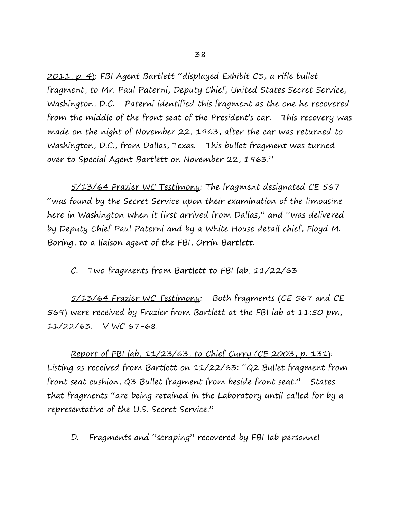2011, p. 4): FBI Agent Bartlett "displayed Exhibit C3, a rifle bullet fragment, to Mr. Paul Paterni, Deputy Chief, United States Secret Service, Washington, D.C. Paterni identified this fragment as the one he recovered from the middle of the front seat of the President's car. This recovery was made on the night of November 22, 1963, after the car was returned to Washington, D.C., from Dallas, Texas. This bullet fragment was turned over to Special Agent Bartlett on November 22, 1963."

5/13/64 Frazier WC Testimony: The fragment designated CE 567 "was found by the Secret Service upon their examination of the limousine here in Washington when it first arrived from Dallas," and "was delivered by Deputy Chief Paul Paterni and by a White House detail chief, Floyd M. Boring, to a liaison agent of the FBI, Orrin Bartlett.

C. Two fragments from Bartlett to FBI lab, 11/22/63

5/13/64 Frazier WC Testimony: Both fragments (CE 567 and CE 569) were received by Frazier from Bartlett at the FBI lab at 11:50 pm, 11/22/63. V WC 67-68.

Report of FBI lab, 11/23/63, to Chief Curry (CE 2003, p. 131): Listing as received from Bartlett on 11/22/63: "Q2 Bullet fragment from front seat cushion, Q3 Bullet fragment from beside front seat." States that fragments "are being retained in the Laboratory until called for by a representative of the U.S. Secret Service."

D. Fragments and "scraping" recovered by FBI lab personnel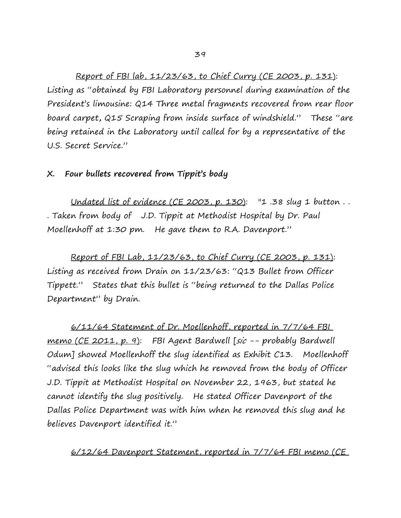Report of FBI lab, 11/23/63, to Chief Curry (CE 2003, p. 131): Listing as "obtained by FBI Laboratory personnel during examination of the President's limousine: Q14 Three metal fragments recovered from rear floor board carpet**,** Q15 Scraping from inside surface of windshield." These "are being retained in the Laboratory until called for by a representative of the U.S. Secret Service."

# **X. Four bullets recovered from Tippit's body**

Undated list of evidence (CE 2003, p. 130): "1.38 slug 1 button.. . Taken from body of J.D. Tippit at Methodist Hospital by Dr. Paul Moellenhoff at 1:30 pm. He gave them to R.A. Davenport."

Report of FBI Lab, 11/23/63, to Chief Curry (CE 2003, p. 131): Listing as received from Drain on 11/23/63: "Q13 Bullet from Officer Tippett." States that this bullet is "being returned to the Dallas Police Department" by Drain.

6/11/64 Statement of Dr. Moellenhoff, reported in 7/7/64 FBI memo (CE 2011, p. 9): FBI Agent Bardwell [sic -- probably Bardwell Odum] showed Moellenhoff the slug identified as Exhibit C13. Moellenhoff "advised this looks like the slug which he removed from the body of Officer J.D. Tippit at Methodist Hospital on November 22, 1963, but stated he cannot identify the slug positively. He stated Officer Davenport of the Dallas Police Department was with him when he removed this slug and he believes Davenport identified it."

6/12/64 Davenport Statement, reported in 7/7/64 FBI memo (CE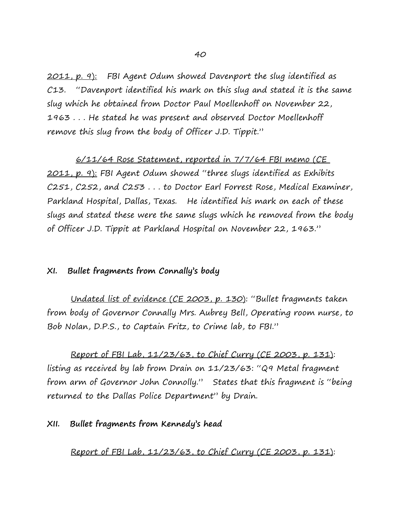2011, p. 9): FBI Agent Odum showed Davenport the slug identified as C13. "Davenport identified his mark on this slug and stated it is the same slug which he obtained from Doctor Paul Moellenhoff on November 22, 1963 . . . He stated he was present and observed Doctor Moellenhoff remove this slug from the body of Officer J.D. Tippit."

6/11/64 Rose Statement, reported in 7/7/64 FBI memo (CE 2011, p. 9): FBI Agent Odum showed "three slugs identified as Exhibits C251, C252, and C253 . . . to Doctor Earl Forrest Rose, Medical Examiner, Parkland Hospital, Dallas, Texas. He identified his mark on each of these slugs and stated these were the same slugs which he removed from the body of Officer J.D. Tippit at Parkland Hospital on November 22, 1963."

# **XI. Bullet fragments from Connally's body**

Undated list of evidence (CE 2003, p. 130): "Bullet fragments taken from body of Governor Connally Mrs. Aubrey Bell, Operating room nurse, to Bob Nolan, D.P.S., to Captain Fritz, to Crime lab, to FBI."

Report of FBI Lab, 11/23/63, to Chief Curry (CE 2003, p. 131): listing as received by lab from Drain on 11/23/63: "Q9 Metal fragment from arm of Governor John Connolly." States that this fragment is "being returned to the Dallas Police Department" by Drain.

# **XII. Bullet fragments from Kennedy's head**

Report of FBI Lab, 11/23/63, to Chief Curry (CE 2003, p. 131):